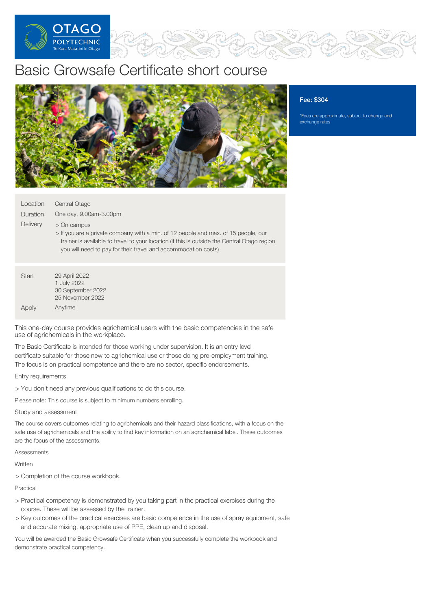

# Basic Growsafe Certificate short course



## Fee: \$304

\*Fees are approximate, subject to change and exchange rates

| Location | Central Otago          |
|----------|------------------------|
| Duration | One day, 9.00am-3.00pm |

**Delivery** > On campus

> > If you are a private company with a min. of 12 people and max. of 15 people, our trainer is available to travel to your location (if this is outside the Central Otago region, you will need to pay for their travel and accommodation costs)

| Start | 29 April 2022     |
|-------|-------------------|
|       | 1 July 2022       |
|       | 30 September 2022 |
|       | 25 November 2022  |
| Apply | Anytime           |

This one-day course provides agrichemical users with the basic competencies in the safe use of agrichemicals in the workplace.

The Basic Certificate is intended for those working under supervision. It is an entry level certificate suitable for those new to agrichemical use or those doing pre-employment training. The focus is on practical competence and there are no sector, specific endorsements.

Entry requirements

> You don't need any previous qualifications to do this course.

Please note: This course is subject to minimum numbers enrolling.

### Study and assessment

The course covers outcomes relating to agrichemicals and their hazard classifications, with a focus on the safe use of agrichemicals and the ability to find key information on an agrichemical label. These outcomes are the focus of the assessments.

**Assessments** 

Written

> Completion of the course workbook.

Practical

- > Practical competency is demonstrated by you taking part in the practical exercises during the course. These will be assessed by the trainer.
- > Key outcomes of the practical exercises are basic competence in the use of spray equipment, safe and accurate mixing, appropriate use of PPE, clean up and disposal.

You will be awarded the Basic Growsafe Certificate when you successfully complete the workbook and demonstrate practical competency.